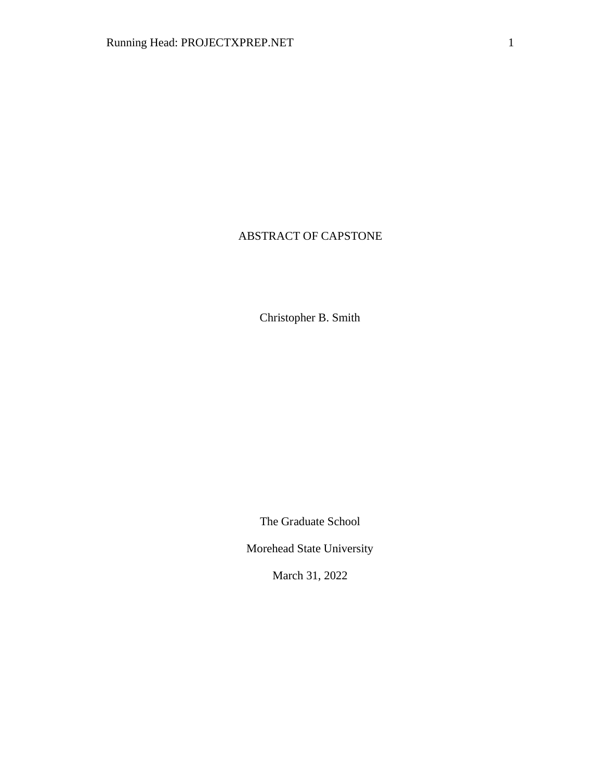# ABSTRACT OF CAPSTONE

Christopher B. Smith

The Graduate School

Morehead State University

March 31, 2022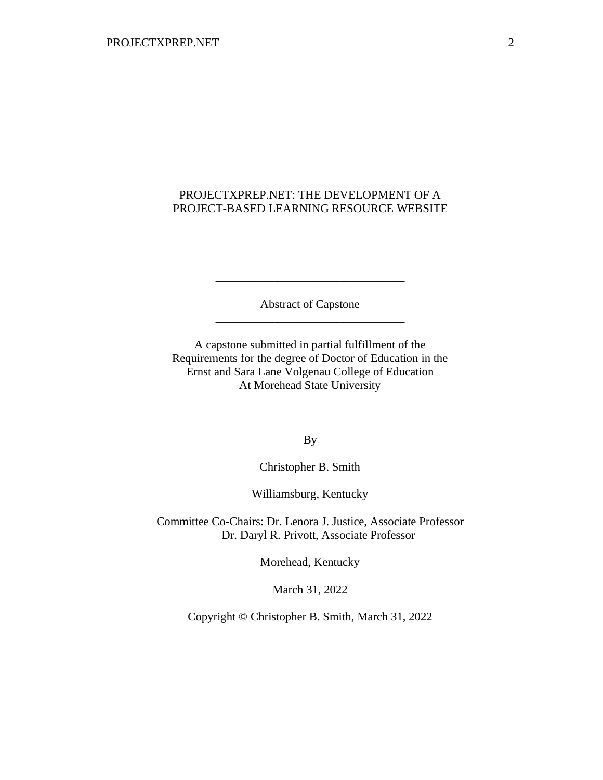## PROJECTXPREP.NET: THE DEVELOPMENT OF A PROJECT-BASED LEARNING RESOURCE WEBSITE

Abstract of Capstone \_\_\_\_\_\_\_\_\_\_\_\_\_\_\_\_\_\_\_\_\_\_\_\_\_\_\_\_\_\_\_\_

\_\_\_\_\_\_\_\_\_\_\_\_\_\_\_\_\_\_\_\_\_\_\_\_\_\_\_\_\_\_\_\_

A capstone submitted in partial fulfillment of the Requirements for the degree of Doctor of Education in the Ernst and Sara Lane Volgenau College of Education At Morehead State University

By

Christopher B. Smith

Williamsburg, Kentucky

Committee Co-Chairs: Dr. Lenora J. Justice, Associate Professor Dr. Daryl R. Privott, Associate Professor

Morehead, Kentucky

March 31, 2022

Copyright © Christopher B. Smith, March 31, 2022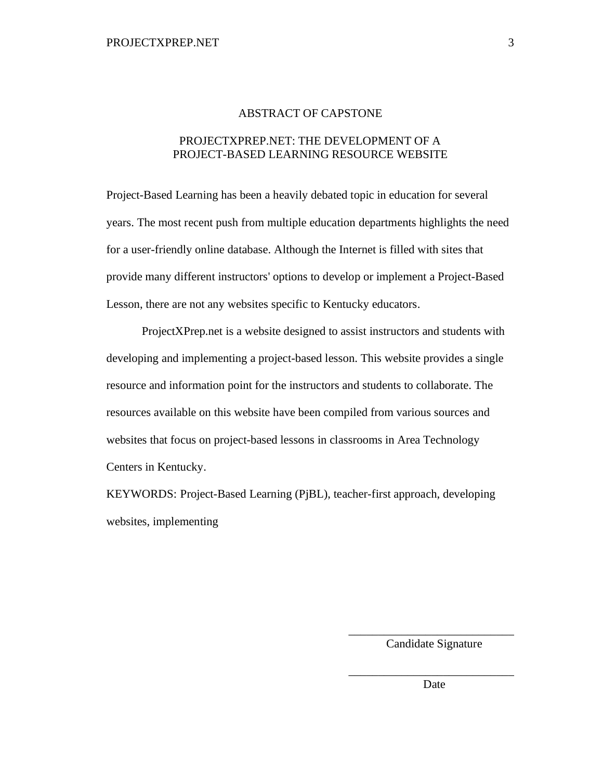#### ABSTRACT OF CAPSTONE

## PROJECTXPREP.NET: THE DEVELOPMENT OF A PROJECT-BASED LEARNING RESOURCE WEBSITE

Project-Based Learning has been a heavily debated topic in education for several years. The most recent push from multiple education departments highlights the need for a user-friendly online database. Although the Internet is filled with sites that provide many different instructors' options to develop or implement a Project-Based Lesson, there are not any websites specific to Kentucky educators.

ProjectXPrep.net is a website designed to assist instructors and students with developing and implementing a project-based lesson. This website provides a single resource and information point for the instructors and students to collaborate. The resources available on this website have been compiled from various sources and websites that focus on project-based lessons in classrooms in Area Technology Centers in Kentucky.

KEYWORDS: Project-Based Learning (PjBL), teacher-first approach, developing websites, implementing

> \_\_\_\_\_\_\_\_\_\_\_\_\_\_\_\_\_\_\_\_\_\_\_\_\_\_\_\_ Candidate Signature

> \_\_\_\_\_\_\_\_\_\_\_\_\_\_\_\_\_\_\_\_\_\_\_\_\_\_\_\_ Date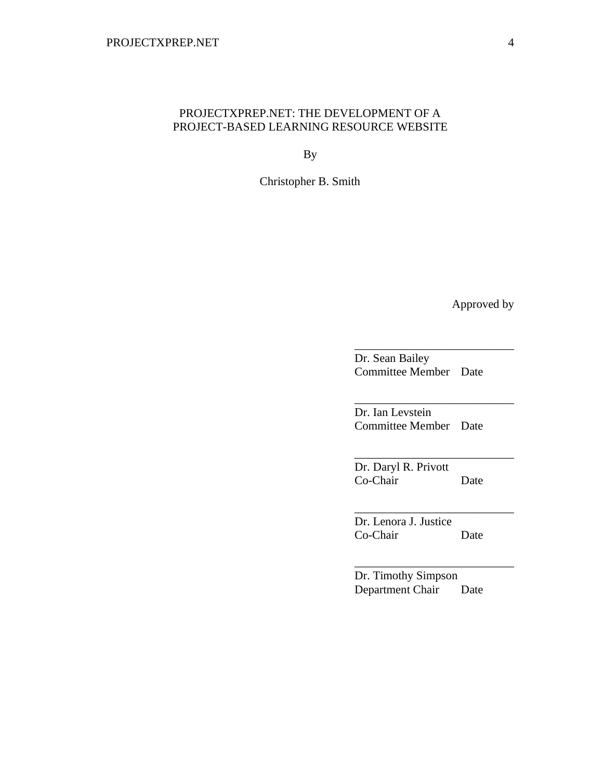#### PROJECTXPREP.NET: THE DEVELOPMENT OF A PROJECT-BASED LEARNING RESOURCE WEBSITE

By

Christopher B. Smith

Approved by

Dr. Sean Bailey Committee Member Date

\_\_\_\_\_\_\_\_\_\_\_\_\_\_\_\_\_\_\_\_\_\_\_\_\_\_\_

\_\_\_\_\_\_\_\_\_\_\_\_\_\_\_\_\_\_\_\_\_\_\_\_\_\_\_

\_\_\_\_\_\_\_\_\_\_\_\_\_\_\_\_\_\_\_\_\_\_\_\_\_\_\_

\_\_\_\_\_\_\_\_\_\_\_\_\_\_\_\_\_\_\_\_\_\_\_\_\_\_\_

\_\_\_\_\_\_\_\_\_\_\_\_\_\_\_\_\_\_\_\_\_\_\_\_\_\_\_

Dr. Ian Levstein Committee Member Date

Dr. Daryl R. Privott Co-Chair Date

Dr. Lenora J. Justice Co-Chair Date

Dr. Timothy Simpson Department Chair Date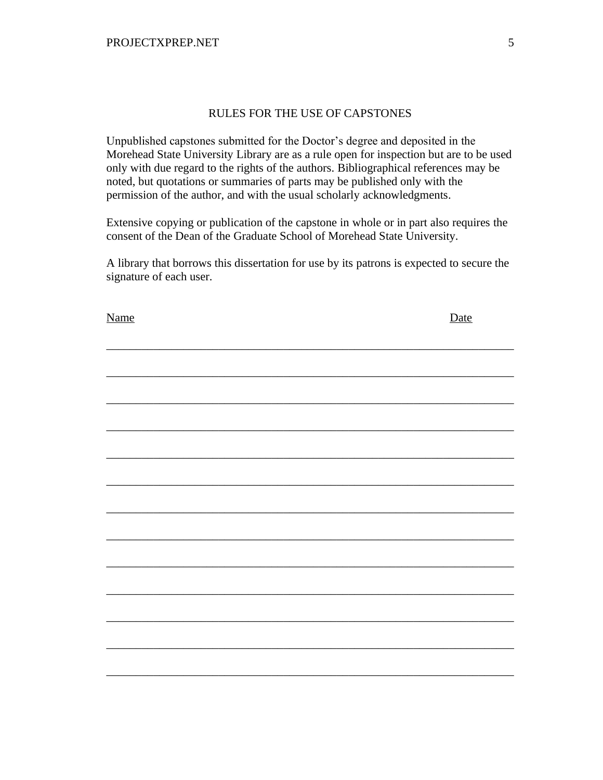## RULES FOR THE USE OF CAPSTONES

Unpublished capstones submitted for the Doctor's degree and deposited in the Morehead State University Library are as a rule open for inspection but are to be used only with due regard to the rights of the authors. Bibliographical references may be noted, but quotations or summaries of parts may be published only with the permission of the author, and with the usual scholarly acknowledgments.

Extensive copying or publication of the capstone in whole or in part also requires the consent of the Dean of the Graduate School of Morehead State University.

A library that borrows this dissertation for use by its patrons is expected to secure the signature of each user.

| <b>Name</b> | Date |
|-------------|------|
|             |      |
|             |      |
|             |      |
|             |      |
|             |      |
|             |      |
|             |      |
|             |      |
|             |      |
|             |      |
|             |      |
|             |      |
|             |      |
|             |      |
|             |      |
|             |      |
|             |      |
|             |      |
|             |      |
|             |      |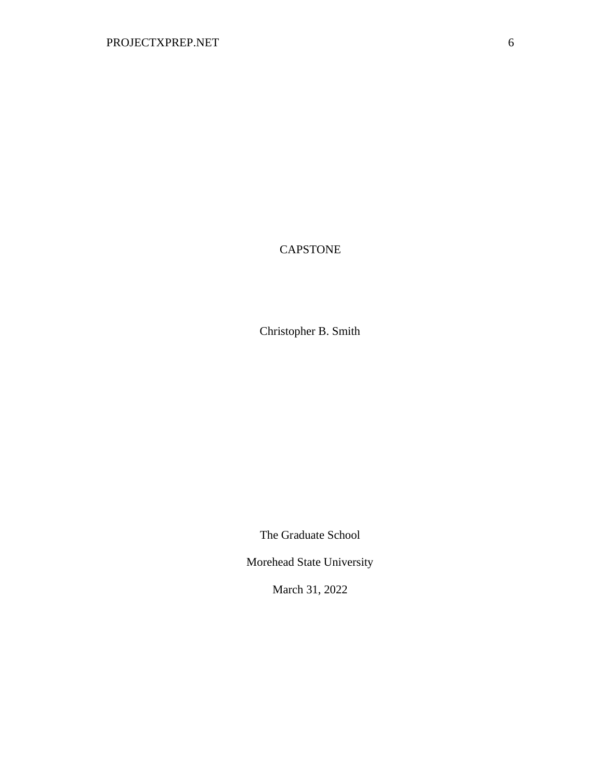# CAPSTONE

Christopher B. Smith

The Graduate School

Morehead State University

March 31, 2022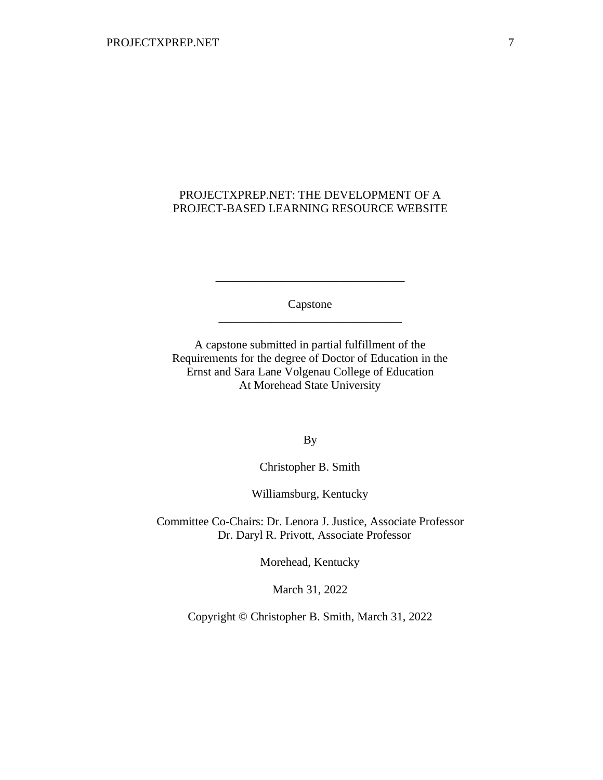## PROJECTXPREP.NET: THE DEVELOPMENT OF A PROJECT-BASED LEARNING RESOURCE WEBSITE

Capstone \_\_\_\_\_\_\_\_\_\_\_\_\_\_\_\_\_\_\_\_\_\_\_\_\_\_\_\_\_\_\_

\_\_\_\_\_\_\_\_\_\_\_\_\_\_\_\_\_\_\_\_\_\_\_\_\_\_\_\_\_\_\_\_

A capstone submitted in partial fulfillment of the Requirements for the degree of Doctor of Education in the Ernst and Sara Lane Volgenau College of Education At Morehead State University

By

Christopher B. Smith

Williamsburg, Kentucky

Committee Co-Chairs: Dr. Lenora J. Justice, Associate Professor Dr. Daryl R. Privott, Associate Professor

Morehead, Kentucky

March 31, 2022

Copyright © Christopher B. Smith, March 31, 2022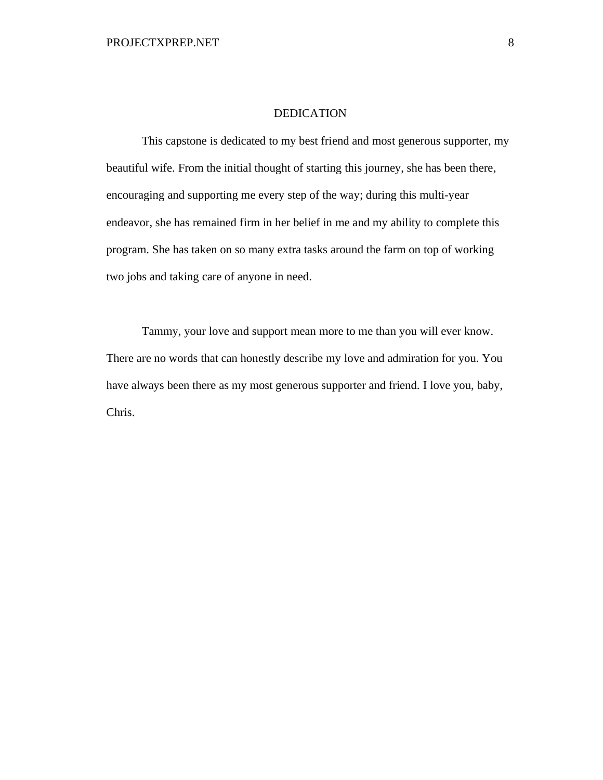#### DEDICATION

This capstone is dedicated to my best friend and most generous supporter, my beautiful wife. From the initial thought of starting this journey, she has been there, encouraging and supporting me every step of the way; during this multi-year endeavor, she has remained firm in her belief in me and my ability to complete this program. She has taken on so many extra tasks around the farm on top of working two jobs and taking care of anyone in need.

Tammy, your love and support mean more to me than you will ever know. There are no words that can honestly describe my love and admiration for you. You have always been there as my most generous supporter and friend. I love you, baby, Chris.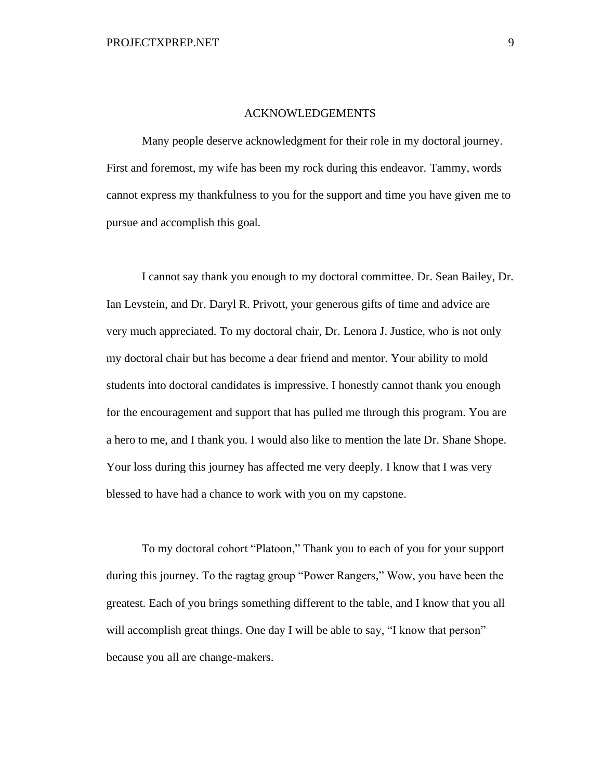#### ACKNOWLEDGEMENTS

Many people deserve acknowledgment for their role in my doctoral journey. First and foremost, my wife has been my rock during this endeavor. Tammy, words cannot express my thankfulness to you for the support and time you have given me to pursue and accomplish this goal.

I cannot say thank you enough to my doctoral committee. Dr. Sean Bailey, Dr. Ian Levstein, and Dr. Daryl R. Privott, your generous gifts of time and advice are very much appreciated. To my doctoral chair, Dr. Lenora J. Justice, who is not only my doctoral chair but has become a dear friend and mentor. Your ability to mold students into doctoral candidates is impressive. I honestly cannot thank you enough for the encouragement and support that has pulled me through this program. You are a hero to me, and I thank you. I would also like to mention the late Dr. Shane Shope. Your loss during this journey has affected me very deeply. I know that I was very blessed to have had a chance to work with you on my capstone.

To my doctoral cohort "Platoon," Thank you to each of you for your support during this journey. To the ragtag group "Power Rangers," Wow, you have been the greatest. Each of you brings something different to the table, and I know that you all will accomplish great things. One day I will be able to say, "I know that person" because you all are change-makers.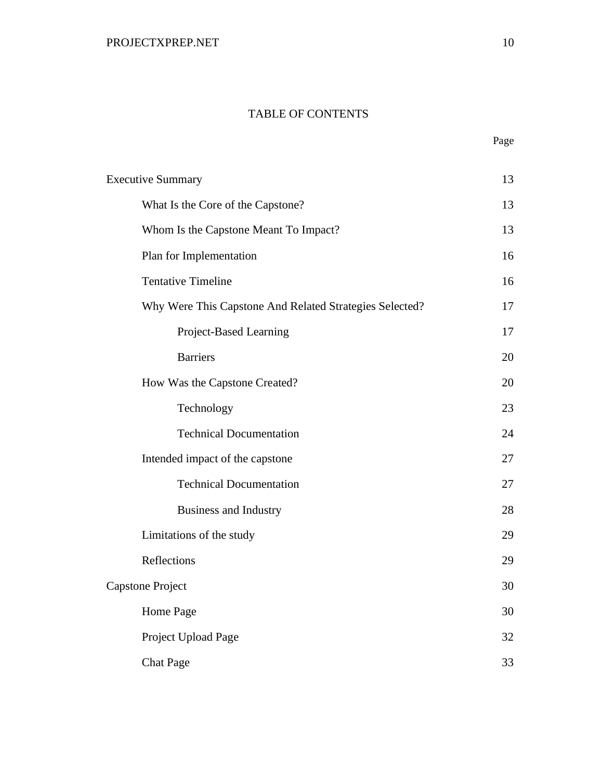## TABLE OF CONTENTS

| <b>Executive Summary</b>                                | 13 |
|---------------------------------------------------------|----|
| What Is the Core of the Capstone?                       | 13 |
| Whom Is the Capstone Meant To Impact?                   | 13 |
| Plan for Implementation                                 | 16 |
| <b>Tentative Timeline</b>                               | 16 |
| Why Were This Capstone And Related Strategies Selected? | 17 |
| Project-Based Learning                                  | 17 |
| <b>Barriers</b>                                         | 20 |
| How Was the Capstone Created?                           | 20 |
| Technology                                              | 23 |
| <b>Technical Documentation</b>                          | 24 |
| Intended impact of the capstone                         | 27 |
| <b>Technical Documentation</b>                          | 27 |
| <b>Business and Industry</b>                            | 28 |
| Limitations of the study                                | 29 |
| Reflections                                             | 29 |
| Capstone Project                                        | 30 |
| Home Page                                               | 30 |
| Project Upload Page                                     | 32 |
| <b>Chat Page</b>                                        | 33 |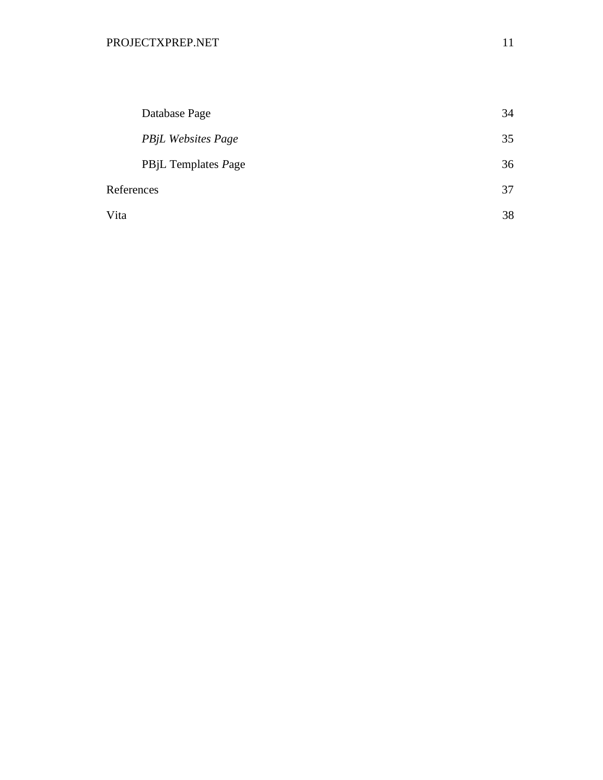|            | Database Page             | 34 |
|------------|---------------------------|----|
|            | <b>PBjL Websites Page</b> | 35 |
|            | PBjL Templates Page       | 36 |
| References |                           | 37 |
| Vita       |                           | 38 |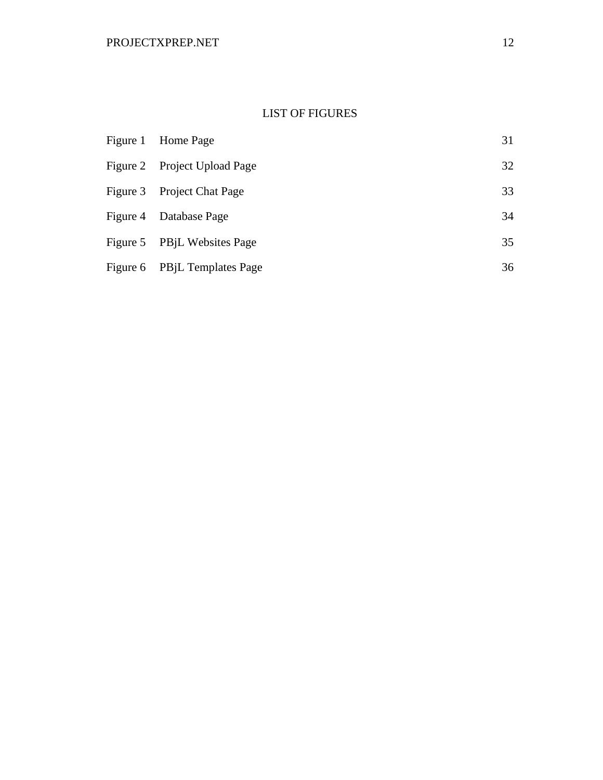## LIST OF FIGURES

| Figure 1 Home Page           | 31 |
|------------------------------|----|
| Figure 2 Project Upload Page | 32 |
| Figure 3 Project Chat Page   | 33 |
| Figure 4 Database Page       | 34 |
| Figure 5 PBjL Websites Page  | 35 |
| Figure 6 PBjL Templates Page | 36 |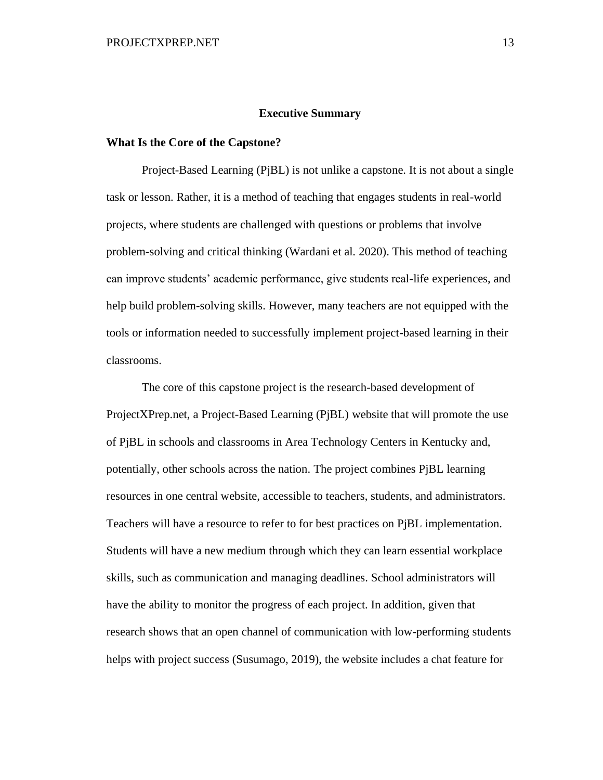#### **Executive Summary**

#### <span id="page-13-1"></span><span id="page-13-0"></span>**What Is the Core of the Capstone?**

Project-Based Learning (PjBL) is not unlike a capstone. It is not about a single task or lesson. Rather, it is a method of teaching that engages students in real-world projects, where students are challenged with questions or problems that involve problem-solving and critical thinking (Wardani et al. 2020). This method of teaching can improve students' academic performance, give students real-life experiences, and help build problem-solving skills. However, many teachers are not equipped with the tools or information needed to successfully implement project-based learning in their classrooms.

<span id="page-13-2"></span>The core of this capstone project is the research-based development of ProjectXPrep.net, a Project-Based Learning (PjBL) website that will promote the use of PjBL in schools and classrooms in Area Technology Centers in Kentucky and, potentially, other schools across the nation. The project combines PjBL learning resources in one central website, accessible to teachers, students, and administrators. Teachers will have a resource to refer to for best practices on PjBL implementation. Students will have a new medium through which they can learn essential workplace skills, such as communication and managing deadlines. School administrators will have the ability to monitor the progress of each project. In addition, given that research shows that an open channel of communication with low-performing students helps with project success (Susumago, 2019), the website includes a chat feature for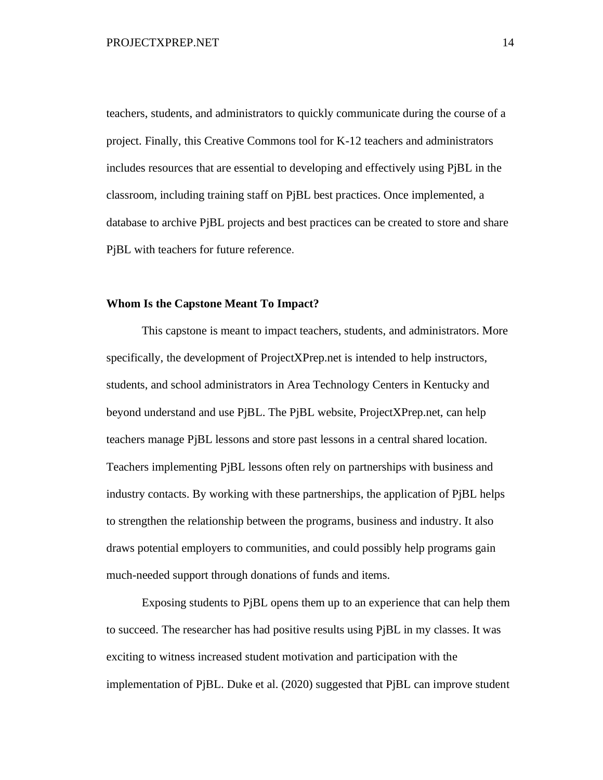teachers, students, and administrators to quickly communicate during the course of a project. Finally, this Creative Commons tool for K-12 teachers and administrators includes resources that are essential to developing and effectively using PjBL in the classroom, including training staff on PjBL best practices. Once implemented, a database to archive PjBL projects and best practices can be created to store and share PjBL with teachers for future reference.

#### **Whom Is the Capstone Meant To Impact?**

This capstone is meant to impact teachers, students, and administrators. More specifically, the development of ProjectXPrep.net is intended to help instructors, students, and school administrators in Area Technology Centers in Kentucky and beyond understand and use PjBL. The PjBL website, ProjectXPrep.net, can help teachers manage PjBL lessons and store past lessons in a central shared location. Teachers implementing PjBL lessons often rely on partnerships with business and industry contacts. By working with these partnerships, the application of PjBL helps to strengthen the relationship between the programs, business and industry. It also draws potential employers to communities, and could possibly help programs gain much-needed support through donations of funds and items.

Exposing students to PjBL opens them up to an experience that can help them to succeed. The researcher has had positive results using PjBL in my classes. It was exciting to witness increased student motivation and participation with the implementation of PjBL. Duke et al. (2020) suggested that PjBL can improve student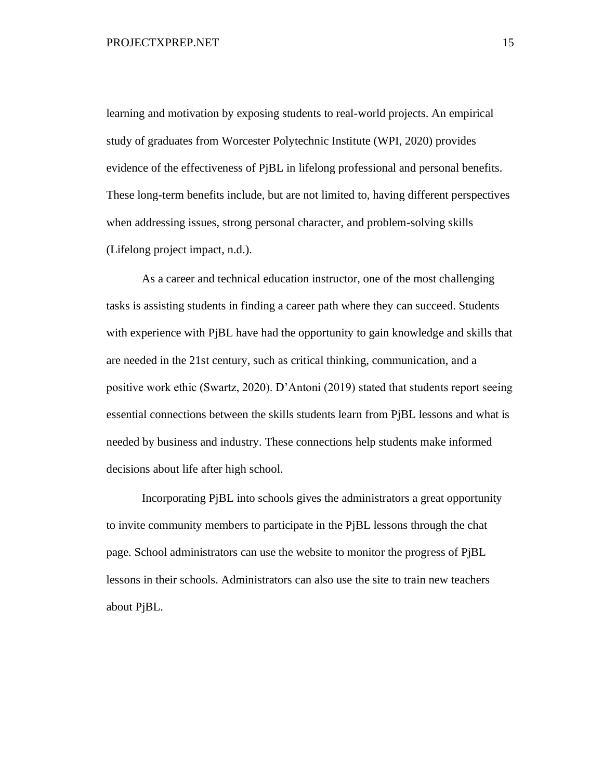learning and motivation by exposing students to real-world projects. An empirical study of graduates from Worcester Polytechnic Institute (WPI, 2020) provides evidence of the effectiveness of PjBL in lifelong professional and personal benefits. These long-term benefits include, but are not limited to, having different perspectives when addressing issues, strong personal character, and problem-solving skills (Lifelong project impact, n.d.).

As a career and technical education instructor, one of the most challenging tasks is assisting students in finding a career path where they can succeed. Students with experience with PjBL have had the opportunity to gain knowledge and skills that are needed in the 21st century, such as critical thinking, communication, and a positive work ethic (Swartz, 2020). D'Antoni (2019) stated that students report seeing essential connections between the skills students learn from PjBL lessons and what is needed by business and industry. These connections help students make informed decisions about life after high school.

Incorporating PjBL into schools gives the administrators a great opportunity to invite community members to participate in the PjBL lessons through the chat page. School administrators can use the website to monitor the progress of PjBL lessons in their schools. Administrators can also use the site to train new teachers about PjBL.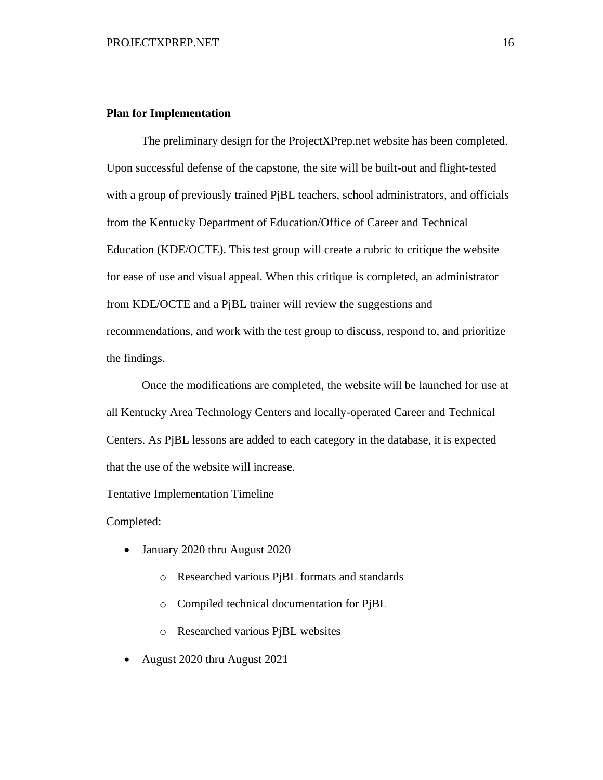#### <span id="page-16-0"></span>**Plan for Implementation**

The preliminary design for the ProjectXPrep.net website has been completed. Upon successful defense of the capstone, the site will be built-out and flight-tested with a group of previously trained PjBL teachers, school administrators, and officials from the Kentucky Department of Education/Office of Career and Technical Education (KDE/OCTE). This test group will create a rubric to critique the website for ease of use and visual appeal. When this critique is completed, an administrator from KDE/OCTE and a PjBL trainer will review the suggestions and recommendations, and work with the test group to discuss, respond to, and prioritize the findings.

Once the modifications are completed, the website will be launched for use at all Kentucky Area Technology Centers and locally-operated Career and Technical Centers. As PjBL lessons are added to each category in the database, it is expected that the use of the website will increase.

Tentative Implementation Timeline

Completed:

- January 2020 thru August 2020
	- o Researched various PjBL formats and standards
	- o Compiled technical documentation for PjBL
	- o Researched various PjBL websites
- August 2020 thru August 2021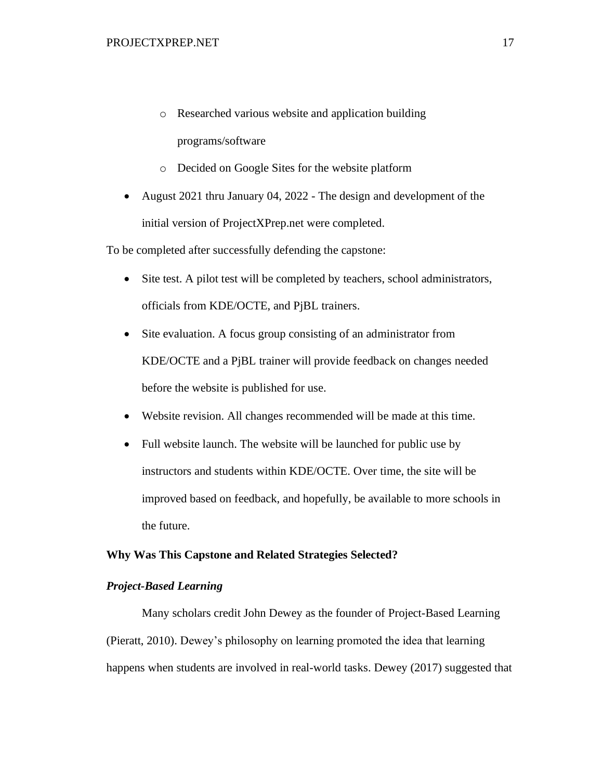- o Researched various website and application building programs/software
- o Decided on Google Sites for the website platform
- August 2021 thru January 04, 2022 The design and development of the initial version of ProjectXPrep.net were completed.

To be completed after successfully defending the capstone:

- <span id="page-17-0"></span>• Site test. A pilot test will be completed by teachers, school administrators, officials from KDE/OCTE, and PjBL trainers.
- Site evaluation. A focus group consisting of an administrator from KDE/OCTE and a PjBL trainer will provide feedback on changes needed before the website is published for use.
- Website revision. All changes recommended will be made at this time.
- Full website launch. The website will be launched for public use by instructors and students within KDE/OCTE. Over time, the site will be improved based on feedback, and hopefully, be available to more schools in the future.

#### <span id="page-17-1"></span>**Why Was This Capstone and Related Strategies Selected?**

#### *Project-Based Learning*

Many scholars credit John Dewey as the founder of Project-Based Learning (Pieratt, 2010). Dewey's philosophy on learning promoted the idea that learning happens when students are involved in real-world tasks. Dewey (2017) suggested that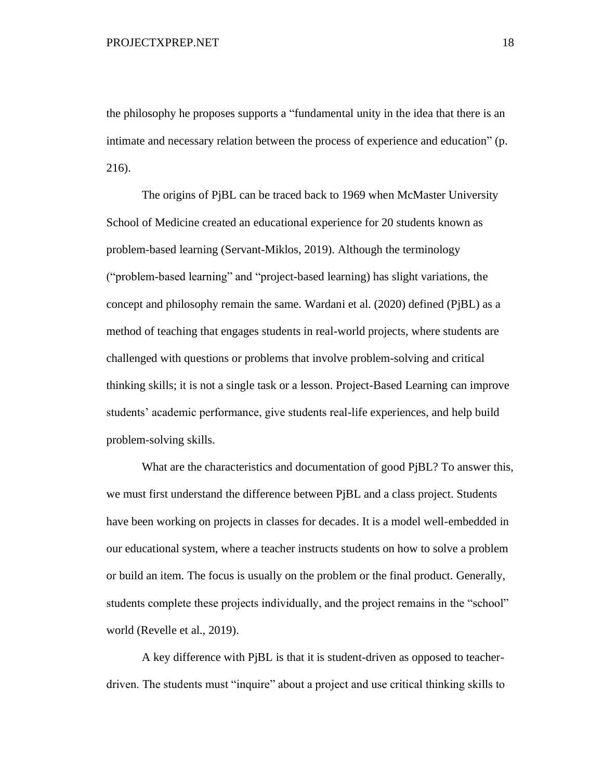the philosophy he proposes supports a "fundamental unity in the idea that there is an intimate and necessary relation between the process of experience and education" (p. 216).

The origins of PjBL can be traced back to 1969 when McMaster University School of Medicine created an educational experience for 20 students known as problem-based learning (Servant-Miklos, 2019). Although the terminology ("problem-based learning" and "project-based learning) has slight variations, the concept and philosophy remain the same. Wardani et al. (2020) defined (PjBL) as a method of teaching that engages students in real-world projects, where students are challenged with questions or problems that involve problem-solving and critical thinking skills; it is not a single task or a lesson. Project-Based Learning can improve students' academic performance, give students real-life experiences, and help build problem-solving skills.

What are the characteristics and documentation of good PjBL? To answer this, we must first understand the difference between PjBL and a class project. Students have been working on projects in classes for decades. It is a model well-embedded in our educational system, where a teacher instructs students on how to solve a problem or build an item. The focus is usually on the problem or the final product. Generally, students complete these projects individually, and the project remains in the "school" world (Revelle et al., 2019).

A key difference with PjBL is that it is student-driven as opposed to teacherdriven. The students must "inquire" about a project and use critical thinking skills to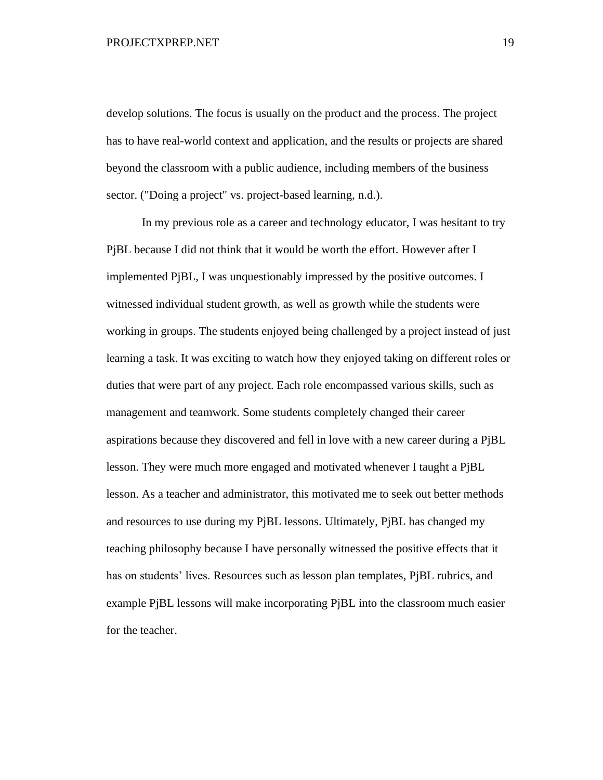#### PROJECTXPREP.NET 19

develop solutions. The focus is usually on the product and the process. The project has to have real-world context and application, and the results or projects are shared beyond the classroom with a public audience, including members of the business sector. ("Doing a project" vs. project-based learning, n.d.).

In my previous role as a career and technology educator, I was hesitant to try PjBL because I did not think that it would be worth the effort. However after I implemented PjBL, I was unquestionably impressed by the positive outcomes. I witnessed individual student growth, as well as growth while the students were working in groups. The students enjoyed being challenged by a project instead of just learning a task. It was exciting to watch how they enjoyed taking on different roles or duties that were part of any project. Each role encompassed various skills, such as management and teamwork. Some students completely changed their career aspirations because they discovered and fell in love with a new career during a PjBL lesson. They were much more engaged and motivated whenever I taught a PjBL lesson. As a teacher and administrator, this motivated me to seek out better methods and resources to use during my PjBL lessons. Ultimately, PjBL has changed my teaching philosophy because I have personally witnessed the positive effects that it has on students' lives. Resources such as lesson plan templates, PjBL rubrics, and example PjBL lessons will make incorporating PjBL into the classroom much easier for the teacher.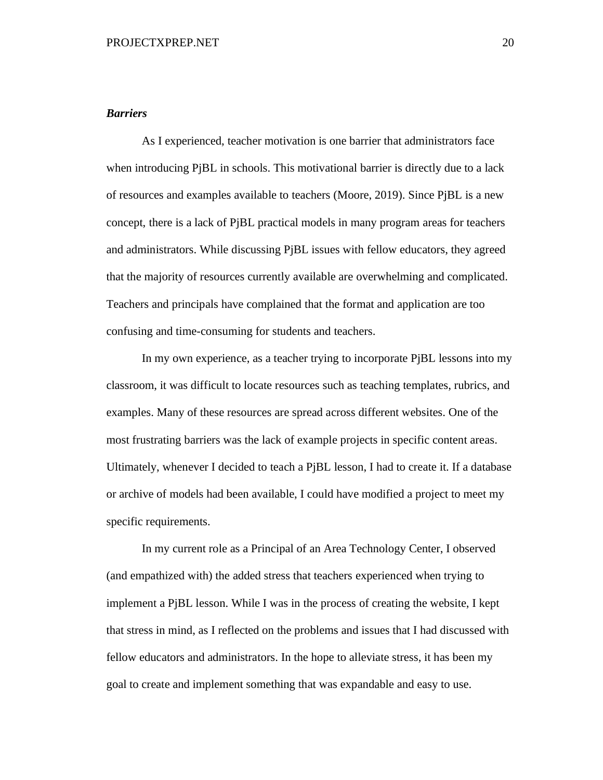#### <span id="page-20-0"></span>*Barriers*

As I experienced, teacher motivation is one barrier that administrators face when introducing PjBL in schools. This motivational barrier is directly due to a lack of resources and examples available to teachers (Moore, 2019). Since PjBL is a new concept, there is a lack of PjBL practical models in many program areas for teachers and administrators. While discussing PjBL issues with fellow educators, they agreed that the majority of resources currently available are overwhelming and complicated. Teachers and principals have complained that the format and application are too confusing and time-consuming for students and teachers.

In my own experience, as a teacher trying to incorporate PjBL lessons into my classroom, it was difficult to locate resources such as teaching templates, rubrics, and examples. Many of these resources are spread across different websites. One of the most frustrating barriers was the lack of example projects in specific content areas. Ultimately, whenever I decided to teach a PjBL lesson, I had to create it. If a database or archive of models had been available, I could have modified a project to meet my specific requirements.

<span id="page-20-1"></span>In my current role as a Principal of an Area Technology Center, I observed (and empathized with) the added stress that teachers experienced when trying to implement a PjBL lesson. While I was in the process of creating the website, I kept that stress in mind, as I reflected on the problems and issues that I had discussed with fellow educators and administrators. In the hope to alleviate stress, it has been my goal to create and implement something that was expandable and easy to use.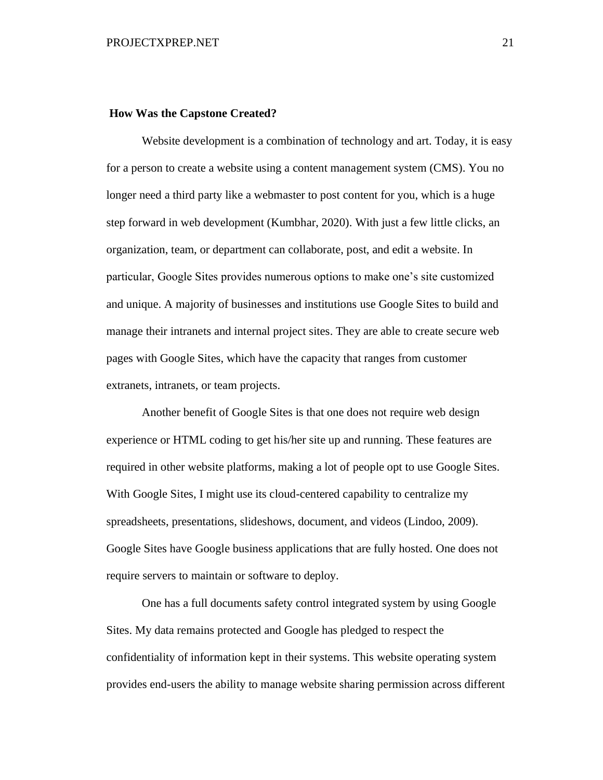#### **How Was the Capstone Created?**

Website development is a combination of technology and art. Today, it is easy for a person to create a website using a content management system (CMS). You no longer need a third party like a webmaster to post content for you, which is a huge step forward in web development (Kumbhar, 2020). With just a few little clicks, an organization, team, or department can collaborate, post, and edit a website. In particular, Google Sites provides numerous options to make one's site customized and unique. A majority of businesses and institutions use Google Sites to build and manage their intranets and internal project sites. They are able to create secure web pages with Google Sites, which have the capacity that ranges from customer extranets, intranets, or team projects.

Another benefit of Google Sites is that one does not require web design experience or HTML coding to get his/her site up and running. These features are required in other website platforms, making a lot of people opt to use Google Sites. With Google Sites, I might use its cloud-centered capability to centralize my spreadsheets, presentations, slideshows, document, and videos (Lindoo, 2009). Google Sites have Google business applications that are fully hosted. One does not require servers to maintain or software to deploy.

One has a full documents safety control integrated system by using Google Sites. My data remains protected and Google has pledged to respect the confidentiality of information kept in their systems. This website operating system provides end-users the ability to manage website sharing permission across different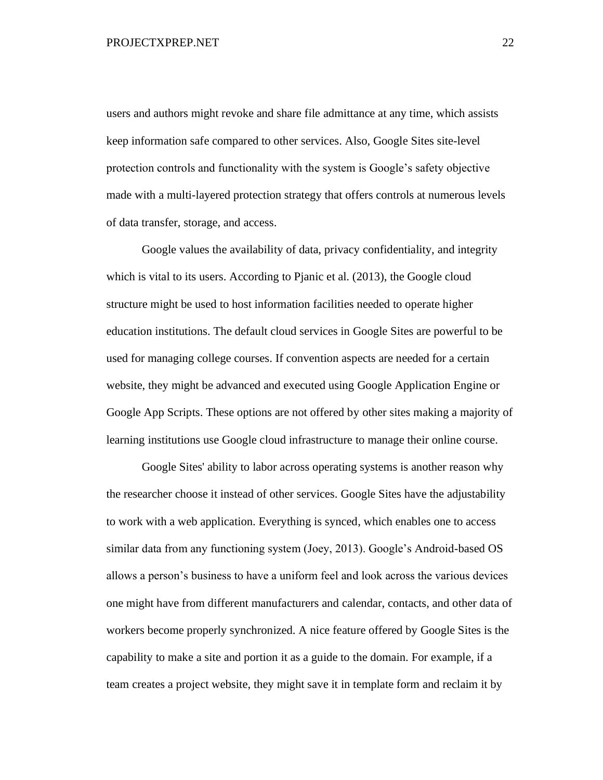users and authors might revoke and share file admittance at any time, which assists keep information safe compared to other services. Also, Google Sites site-level protection controls and functionality with the system is Google's safety objective made with a multi-layered protection strategy that offers controls at numerous levels of data transfer, storage, and access.

Google values the availability of data, privacy confidentiality, and integrity which is vital to its users. According to Pjanic et al. (2013), the Google cloud structure might be used to host information facilities needed to operate higher education institutions. The default cloud services in Google Sites are powerful to be used for managing college courses. If convention aspects are needed for a certain website, they might be advanced and executed using Google Application Engine or Google App Scripts. These options are not offered by other sites making a majority of learning institutions use Google cloud infrastructure to manage their online course.

Google Sites' ability to labor across operating systems is another reason why the researcher choose it instead of other services. Google Sites have the adjustability to work with a web application. Everything is synced, which enables one to access similar data from any functioning system (Joey, 2013). Google's Android-based OS allows a person's business to have a uniform feel and look across the various devices one might have from different manufacturers and calendar, contacts, and other data of workers become properly synchronized. A nice feature offered by Google Sites is the capability to make a site and portion it as a guide to the domain. For example, if a team creates a project website, they might save it in template form and reclaim it by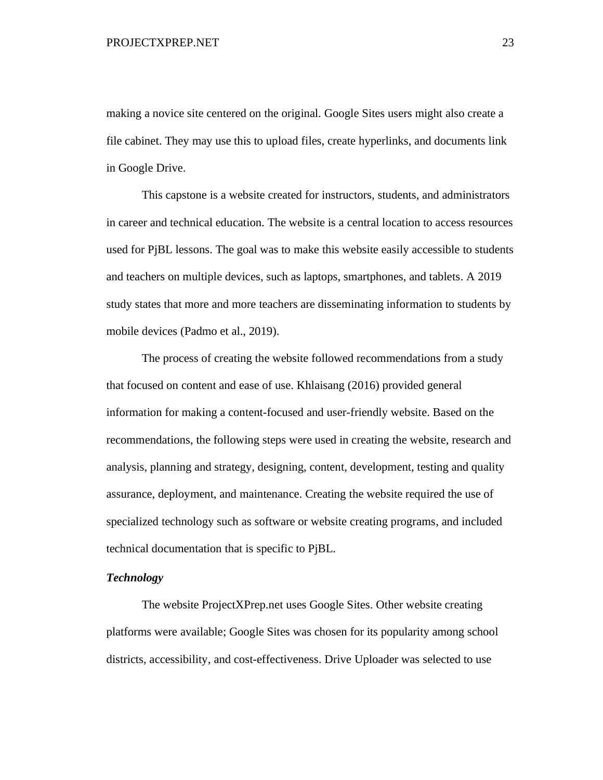making a novice site centered on the original. Google Sites users might also create a file cabinet. They may use this to upload files, create hyperlinks, and documents link in Google Drive.

This capstone is a website created for instructors, students, and administrators in career and technical education. The website is a central location to access resources used for PjBL lessons. The goal was to make this website easily accessible to students and teachers on multiple devices, such as laptops, smartphones, and tablets. A 2019 study states that more and more teachers are disseminating information to students by mobile devices (Padmo et al., 2019).

The process of creating the website followed recommendations from a study that focused on content and ease of use. Khlaisang (2016) provided general information for making a content-focused and user-friendly website. Based on the recommendations, the following steps were used in creating the website, research and analysis, planning and strategy, designing, content, development, testing and quality assurance, deployment, and maintenance. Creating the website required the use of specialized technology such as software or website creating programs, and included technical documentation that is specific to PjBL.

#### <span id="page-23-0"></span>*Technology*

The website ProjectXPrep.net uses Google Sites. Other website creating platforms were available; Google Sites was chosen for its popularity among school districts, accessibility, and cost-effectiveness. Drive Uploader was selected to use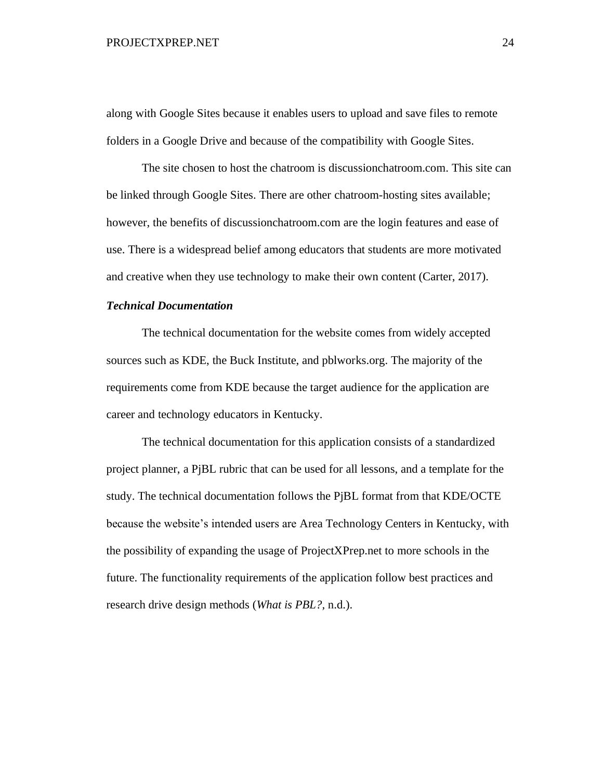#### PROJECTXPREP.NET 24

along with Google Sites because it enables users to upload and save files to remote folders in a Google Drive and because of the compatibility with Google Sites.

The site chosen to host the chatroom is discussionchatroom.com. This site can be linked through Google Sites. There are other chatroom-hosting sites available; however, the benefits of discussionchatroom.com are the login features and ease of use. There is a widespread belief among educators that students are more motivated and creative when they use technology to make their own content (Carter, 2017).

#### <span id="page-24-0"></span>*Technical Documentation*

The technical documentation for the website comes from widely accepted sources such as KDE, the Buck Institute, and pblworks.org. The majority of the requirements come from KDE because the target audience for the application are career and technology educators in Kentucky.

The technical documentation for this application consists of a standardized project planner, a PjBL rubric that can be used for all lessons, and a template for the study. The technical documentation follows the PjBL format from that KDE/OCTE because the website's intended users are Area Technology Centers in Kentucky, with the possibility of expanding the usage of ProjectXPrep.net to more schools in the future. The functionality requirements of the application follow best practices and research drive design methods (*What is PBL?,* n.d.).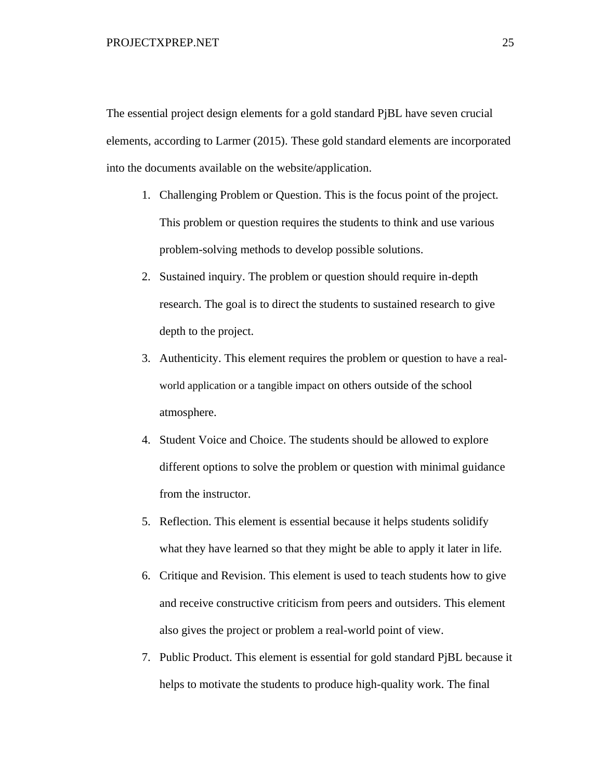The essential project design elements for a gold standard PjBL have seven crucial elements, according to Larmer (2015). These gold standard elements are incorporated into the documents available on the website/application.

- 1. Challenging Problem or Question. This is the focus point of the project. This problem or question requires the students to think and use various problem-solving methods to develop possible solutions.
- 2. Sustained inquiry. The problem or question should require in-depth research. The goal is to direct the students to sustained research to give depth to the project.
- 3. Authenticity. This element requires the problem or question to have a realworld application or a tangible impact on others outside of the school atmosphere.
- 4. Student Voice and Choice. The students should be allowed to explore different options to solve the problem or question with minimal guidance from the instructor.
- 5. Reflection. This element is essential because it helps students solidify what they have learned so that they might be able to apply it later in life.
- 6. Critique and Revision. This element is used to teach students how to give and receive constructive criticism from peers and outsiders. This element also gives the project or problem a real-world point of view.
- 7. Public Product. This element is essential for gold standard PjBL because it helps to motivate the students to produce high-quality work. The final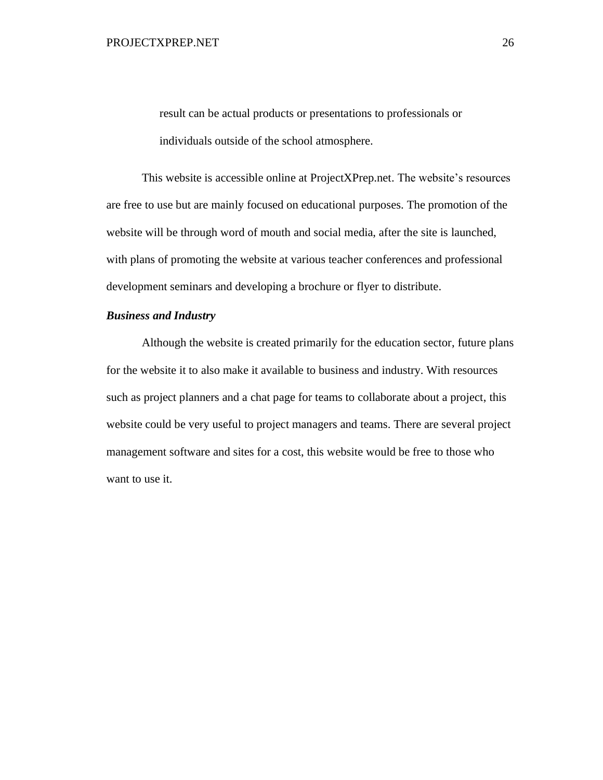result can be actual products or presentations to professionals or individuals outside of the school atmosphere.

This website is accessible online at ProjectXPrep.net. The website's resources are free to use but are mainly focused on educational purposes. The promotion of the website will be through word of mouth and social media, after the site is launched, with plans of promoting the website at various teacher conferences and professional development seminars and developing a brochure or flyer to distribute.

#### *Business and Industry*

Although the website is created primarily for the education sector, future plans for the website it to also make it available to business and industry. With resources such as project planners and a chat page for teams to collaborate about a project, this website could be very useful to project managers and teams. There are several project management software and sites for a cost, this website would be free to those who want to use it.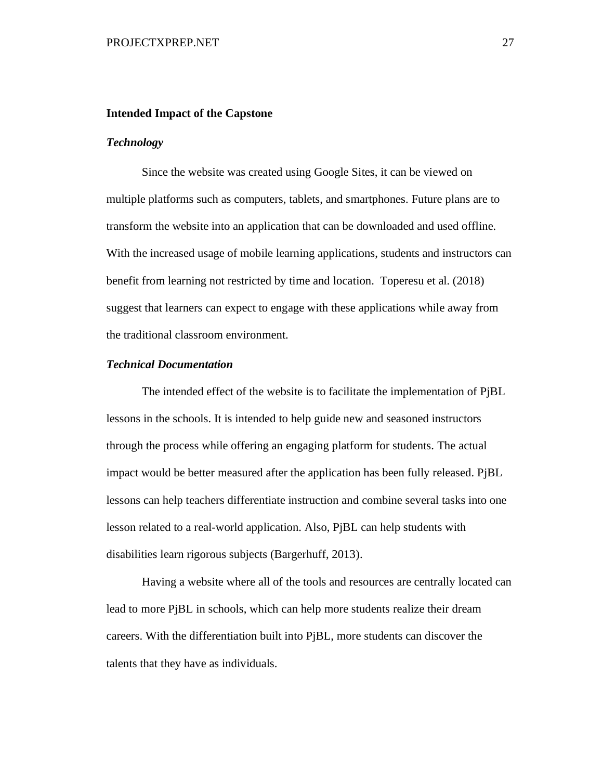#### <span id="page-27-0"></span>**Intended Impact of the Capstone**

#### <span id="page-27-1"></span>*Technology*

Since the website was created using Google Sites, it can be viewed on multiple platforms such as computers, tablets, and smartphones. Future plans are to transform the website into an application that can be downloaded and used offline. With the increased usage of mobile learning applications, students and instructors can benefit from learning not restricted by time and location. Toperesu et al. (2018) suggest that learners can expect to engage with these applications while away from the traditional classroom environment.

#### *Technical Documentation*

The intended effect of the website is to facilitate the implementation of PjBL lessons in the schools. It is intended to help guide new and seasoned instructors through the process while offering an engaging platform for students. The actual impact would be better measured after the application has been fully released. PjBL lessons can help teachers differentiate instruction and combine several tasks into one lesson related to a real-world application. Also, PjBL can help students with disabilities learn rigorous subjects (Bargerhuff, 2013).

Having a website where all of the tools and resources are centrally located can lead to more PjBL in schools, which can help more students realize their dream careers. With the differentiation built into PjBL, more students can discover the talents that they have as individuals.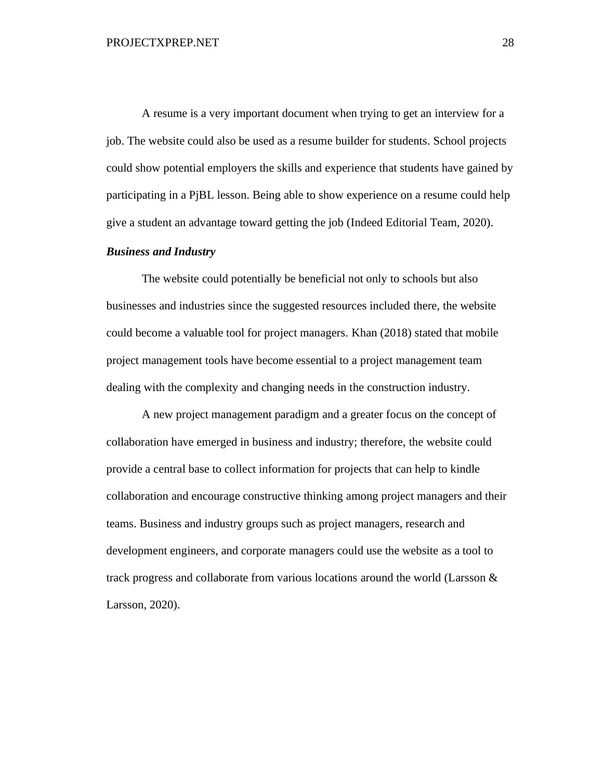A resume is a very important document when trying to get an interview for a job. The website could also be used as a resume builder for students. School projects could show potential employers the skills and experience that students have gained by participating in a PjBL lesson. Being able to show experience on a resume could help give a student an advantage toward getting the job (Indeed Editorial Team, 2020).

#### <span id="page-28-0"></span>*Business and Industry*

The website could potentially be beneficial not only to schools but also businesses and industries since the suggested resources included there, the website could become a valuable tool for project managers. Khan (2018) stated that mobile project management tools have become essential to a project management team dealing with the complexity and changing needs in the construction industry.

A new project management paradigm and a greater focus on the concept of collaboration have emerged in business and industry; therefore, the website could provide a central base to collect information for projects that can help to kindle collaboration and encourage constructive thinking among project managers and their teams. Business and industry groups such as project managers, research and development engineers, and corporate managers could use the website as a tool to track progress and collaborate from various locations around the world (Larsson & Larsson, 2020).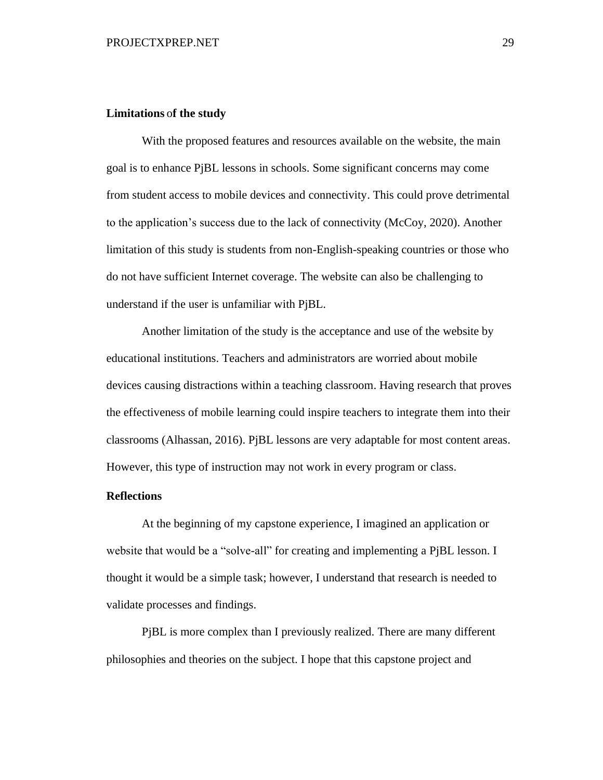#### <span id="page-29-0"></span>**Limitations** o**f the study**

With the proposed features and resources available on the website, the main goal is to enhance PjBL lessons in schools. Some significant concerns may come from student access to mobile devices and connectivity. This could prove detrimental to the application's success due to the lack of connectivity (McCoy, 2020). Another limitation of this study is students from non-English-speaking countries or those who do not have sufficient Internet coverage. The website can also be challenging to understand if the user is unfamiliar with PjBL.

Another limitation of the study is the acceptance and use of the website by educational institutions. Teachers and administrators are worried about mobile devices causing distractions within a teaching classroom. Having research that proves the effectiveness of mobile learning could inspire teachers to integrate them into their classrooms (Alhassan, 2016). PjBL lessons are very adaptable for most content areas. However, this type of instruction may not work in every program or class.

#### <span id="page-29-1"></span>**Reflections**

At the beginning of my capstone experience, I imagined an application or website that would be a "solve-all" for creating and implementing a PjBL lesson. I thought it would be a simple task; however, I understand that research is needed to validate processes and findings.

PjBL is more complex than I previously realized. There are many different philosophies and theories on the subject. I hope that this capstone project and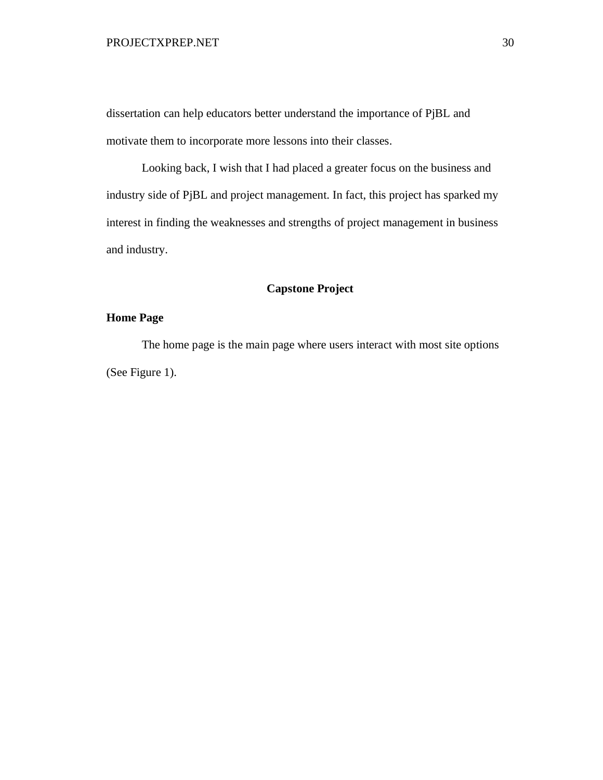#### PROJECTXPREP.NET 30

dissertation can help educators better understand the importance of PjBL and motivate them to incorporate more lessons into their classes.

Looking back, I wish that I had placed a greater focus on the business and industry side of PjBL and project management. In fact, this project has sparked my interest in finding the weaknesses and strengths of project management in business and industry.

## **Capstone Project**

## <span id="page-30-1"></span><span id="page-30-0"></span>**Home Page**

The home page is the main page where users interact with most site options (See Figure 1).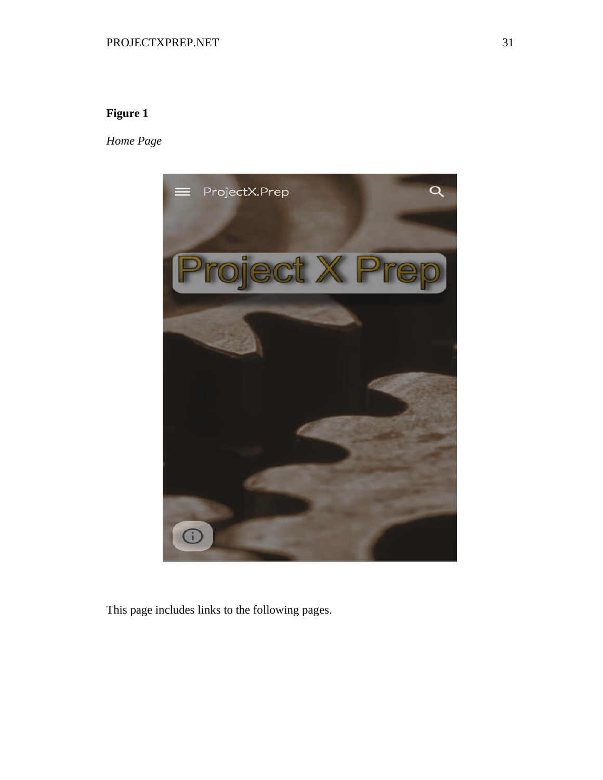# <span id="page-31-0"></span>**Figure 1**

*Home Page*



This page includes links to the following pages.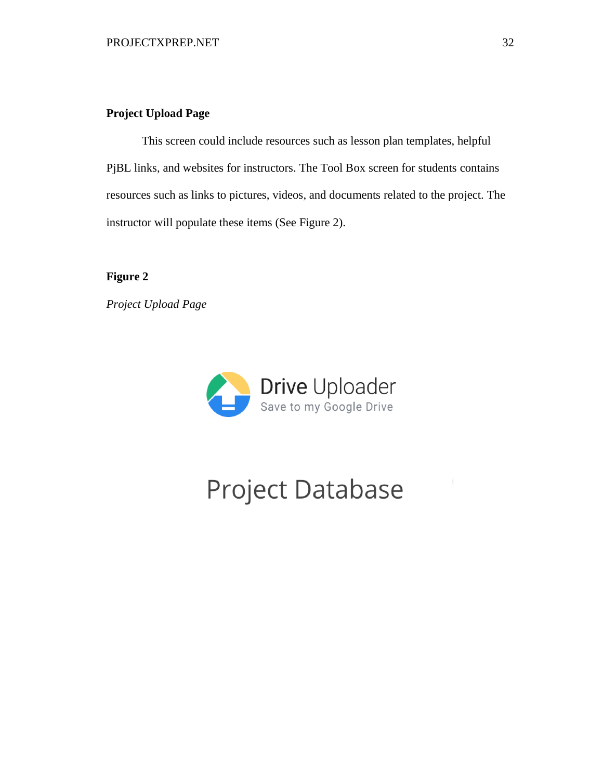## <span id="page-32-0"></span>**Project Upload Page**

This screen could include resources such as lesson plan templates, helpful PjBL links, and websites for instructors. The Tool Box screen for students contains resources such as links to pictures, videos, and documents related to the project. The instructor will populate these items (See Figure 2).

<span id="page-32-1"></span>**Figure 2**

*Project Upload Page*



# **Project Database**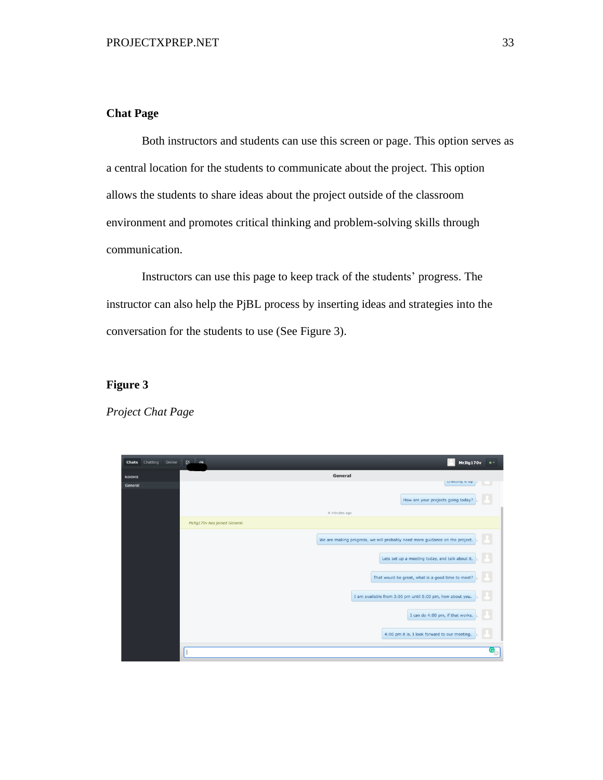## <span id="page-33-0"></span>**Chat Page**

Both instructors and students can use this screen or page. This option serves as a central location for the students to communicate about the project. This option allows the students to share ideas about the project outside of the classroom environment and promotes critical thinking and problem-solving skills through communication.

Instructors can use this page to keep track of the students' progress. The instructor can also help the PjBL process by inserting ideas and strategies into the conversation for the students to use (See Figure 3).

## <span id="page-33-1"></span>**Figure 3**

## *Project Chat Page*

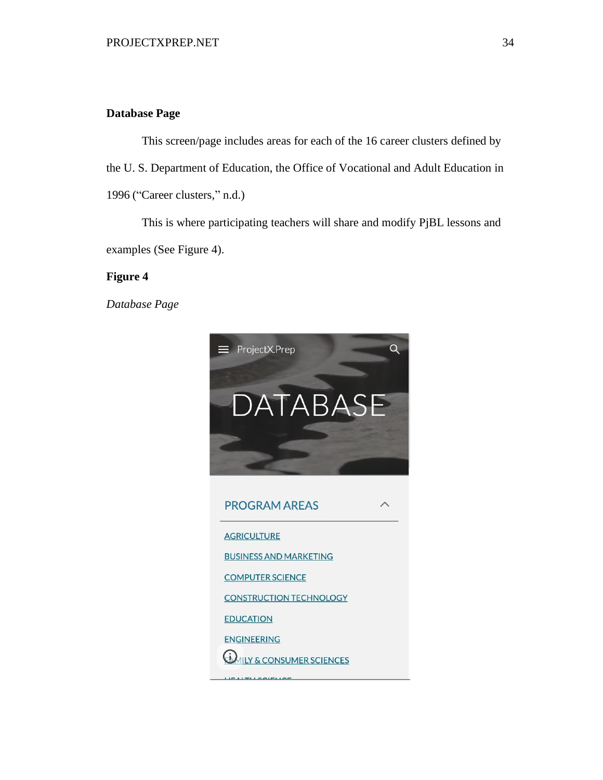### <span id="page-34-0"></span>**Database Page**

This screen/page includes areas for each of the 16 career clusters defined by the U. S. Department of Education, the Office of Vocational and Adult Education in 1996 ("Career clusters," n.d.)

This is where participating teachers will share and modify PjBL lessons and examples (See Figure 4).

## <span id="page-34-1"></span>**Figure 4**

*Database Page*

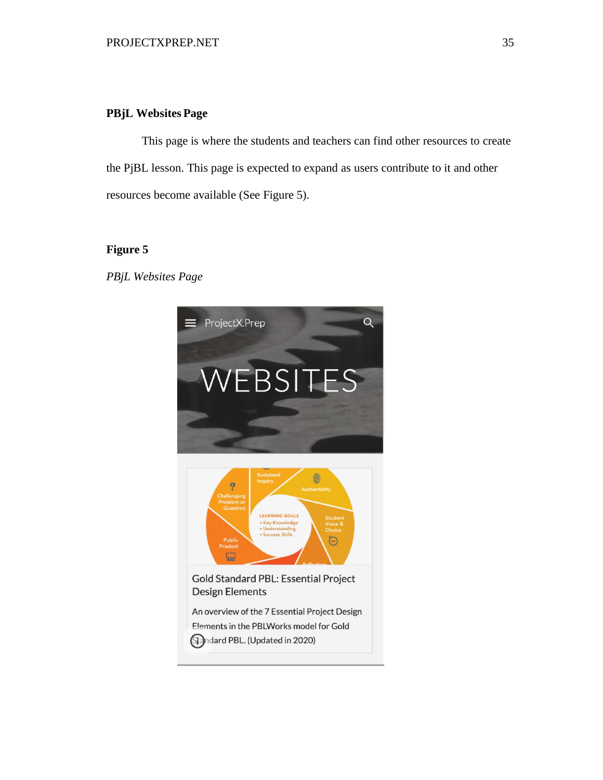#### <span id="page-35-0"></span>**PBjL Websites Page**

This page is where the students and teachers can find other resources to create the PjBL lesson. This page is expected to expand as users contribute to it and other resources become available (See Figure 5).

#### <span id="page-35-1"></span>**Figure 5**

*PBjL Websites Page*

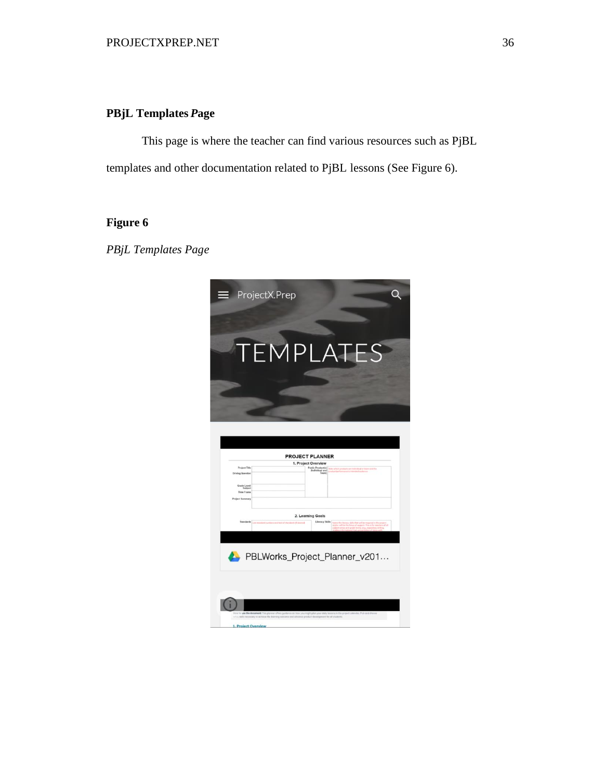## <span id="page-36-0"></span>**PBjL Templates** *P***age**

This page is where the teacher can find various resources such as PjBL templates and other documentation related to PjBL lessons (See Figure 6).

# <span id="page-36-1"></span>**Figure 6**

*PBjL Templates Page*

| ProjectX.Prep<br>=                                                                                                | $\mathbf Q$                                                                                           |
|-------------------------------------------------------------------------------------------------------------------|-------------------------------------------------------------------------------------------------------|
|                                                                                                                   | TEMPLATES                                                                                             |
| <b>Project Title</b><br><b>Driving Question</b><br>Grade Level<br>Subject<br>Time Frame<br><b>Project Summary</b> | <b>PROJECT PLANNER</b><br>1. Project Overview<br>studi ar turpe crof tha                              |
|                                                                                                                   |                                                                                                       |
| Standards<br>Lost strengtoni roanibara seat text of sta                                                           | 2. Learning Goals<br>Literacy Skills<br>fearer the literacy skills that sell he requestly the anspect |
|                                                                                                                   |                                                                                                       |
|                                                                                                                   | PBLWorks_Project_Planner_v201                                                                         |
| use the document; This y<br>Likely necessary to achieve the le-<br>1. Project Overview                            | et calendar. Fick and choose<br>a and odvance product development for all students.                   |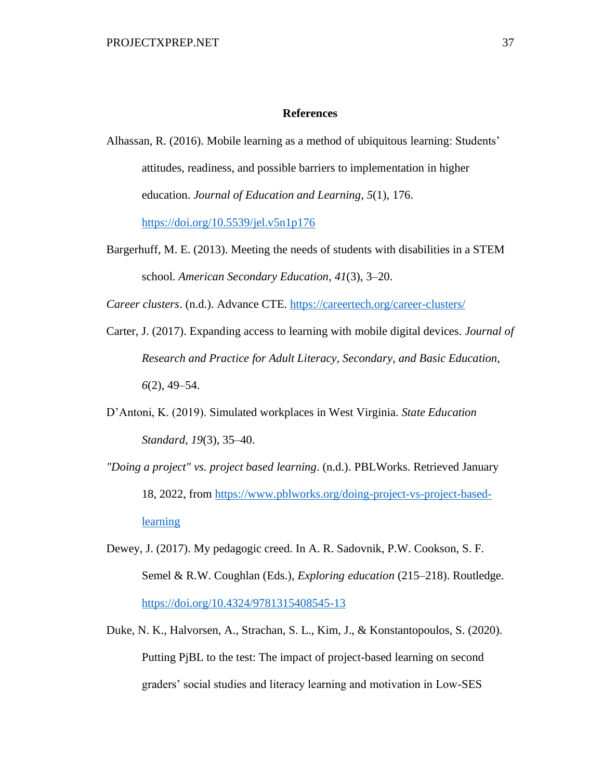#### **References**

- <span id="page-37-0"></span>Alhassan, R. (2016). Mobile learning as a method of ubiquitous learning: Students' attitudes, readiness, and possible barriers to implementation in higher education. *Journal of Education and Learning*, *5*(1), 176. <https://doi.org/10.5539/jel.v5n1p176>
- Bargerhuff, M. E. (2013). Meeting the needs of students with disabilities in a STEM school. *American Secondary Education*, *41*(3), 3–20.

*Career clusters*. (n.d.). Advance CTE. <https://careertech.org/career-clusters/>

- Carter, J. (2017). Expanding access to learning with mobile digital devices. *Journal of Research and Practice for Adult Literacy, Secondary, and Basic Education*, *6*(2), 49–54.
- D'Antoni, K. (2019). Simulated workplaces in West Virginia. *State Education Standard*, *19*(3), 35–40.
- *"Doing a project" vs. project based learning*. (n.d.). PBLWorks. Retrieved January 18, 2022, from [https://www.pblworks.org/doing-project-vs-project-based](https://www.pblworks.org/doing-project-vs-project-based-learning)**[learning](https://www.pblworks.org/doing-project-vs-project-based-learning)**
- Dewey, J. (2017). My pedagogic creed. In A. R. Sadovnik, P.W. Cookson, S. F. Semel & R.W. Coughlan (Eds.), *Exploring education* (215–218). Routledge. <https://doi.org/10.4324/9781315408545-13>
- Duke, N. K., Halvorsen, A., Strachan, S. L., Kim, J., & Konstantopoulos, S. (2020). Putting PjBL to the test: The impact of project-based learning on second graders' social studies and literacy learning and motivation in Low-SES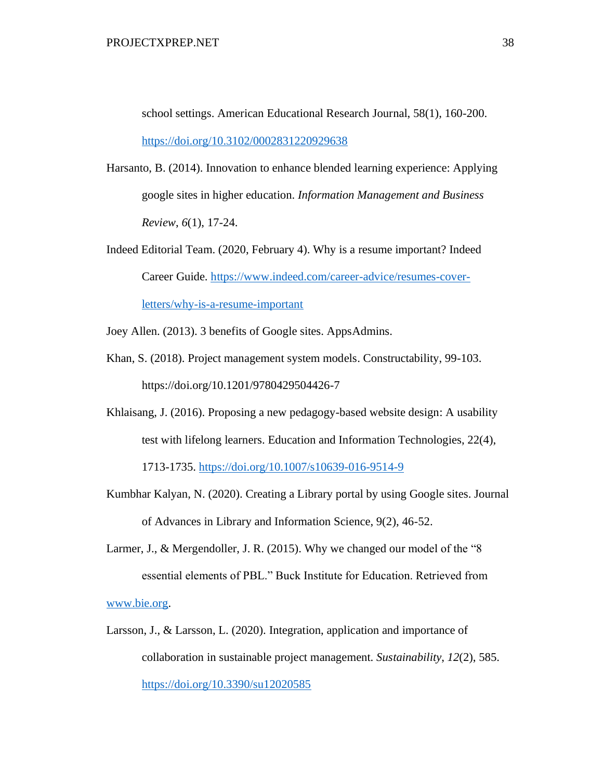school settings. American Educational Research Journal, 58(1), 160-200. <https://doi.org/10.3102/0002831220929638>

- Harsanto, B. (2014). Innovation to enhance blended learning experience: Applying google sites in higher education. *Information Management and Business Review*, *6*(1), 17-24.
- Indeed Editorial Team. (2020, February 4). Why is a resume important? Indeed Career Guide. [https://www.indeed.com/career-advice/resumes-cover](https://www.indeed.com/career-advice/resumes-cover-letters/why-is-a-resume-important)[letters/why-is-a-resume-important](https://www.indeed.com/career-advice/resumes-cover-letters/why-is-a-resume-important)

Joey Allen. (2013). 3 benefits of Google sites. AppsAdmins.

- Khan, S. (2018). Project management system models. Constructability, 99-103. https://doi.org/10.1201/9780429504426-7
- Khlaisang, J. (2016). Proposing a new pedagogy-based website design: A usability test with lifelong learners. Education and Information Technologies, 22(4),

1713-1735.<https://doi.org/10.1007/s10639-016-9514-9>

- Kumbhar Kalyan, N. (2020). Creating a Library portal by using Google sites. Journal of Advances in Library and Information Science, 9(2), 46-52.
- Larmer, J., & Mergendoller, J. R. (2015). Why we changed our model of the "8 essential elements of PBL." Buck Institute for Education. Retrieved from [www.bie.org.](http://www.bie.org/)
- Larsson, J., & Larsson, L. (2020). Integration, application and importance of collaboration in sustainable project management. *Sustainability*, *12*(2), 585. <https://doi.org/10.3390/su12020585>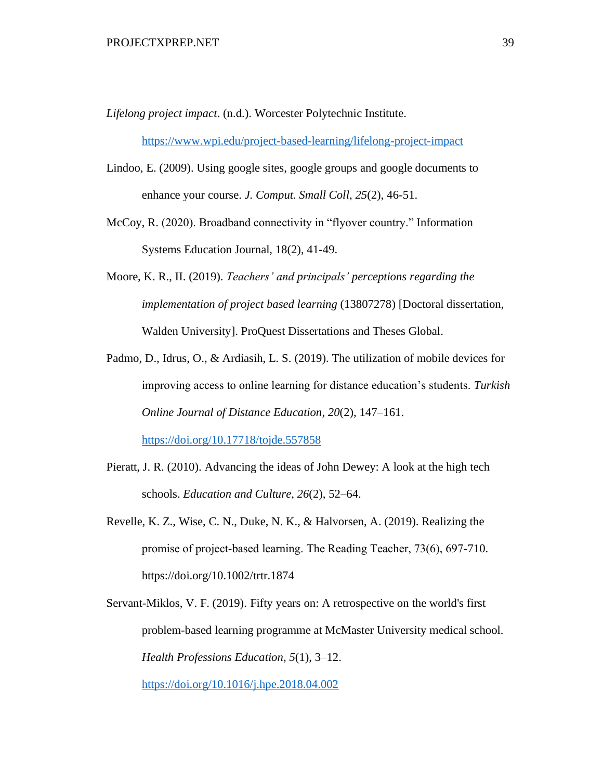*Lifelong project impact*. (n.d.). Worcester Polytechnic Institute.

<https://www.wpi.edu/project-based-learning/lifelong-project-impact>

- Lindoo, E. (2009). Using google sites, google groups and google documents to enhance your course. *J. Comput. Small Coll*, *25*(2), 46-51.
- McCoy, R. (2020). Broadband connectivity in "flyover country." Information Systems Education Journal, 18(2), 41-49.
- Moore, K. R., II. (2019). *Teachers' and principals' perceptions regarding the implementation of project based learning* (13807278) [Doctoral dissertation, Walden University]. ProQuest Dissertations and Theses Global.
- Padmo, D., Idrus, O., & Ardiasih, L. S. (2019). The utilization of mobile devices for improving access to online learning for distance education's students. *Turkish Online Journal of Distance Education*, *20*(2), 147–161.

<https://doi.org/10.17718/tojde.557858>

- Pieratt, J. R. (2010). Advancing the ideas of John Dewey: A look at the high tech schools. *Education and Culture*, *26*(2), 52–64.
- Revelle, K. Z., Wise, C. N., Duke, N. K., & Halvorsen, A. (2019). Realizing the promise of project‐based learning. The Reading Teacher, 73(6), 697-710. https://doi.org/10.1002/trtr.1874
- Servant-Miklos, V. F. (2019). Fifty years on: A retrospective on the world's first problem-based learning programme at McMaster University medical school. *Health Professions Education*, *5*(1), 3–12.

<https://doi.org/10.1016/j.hpe.2018.04.002>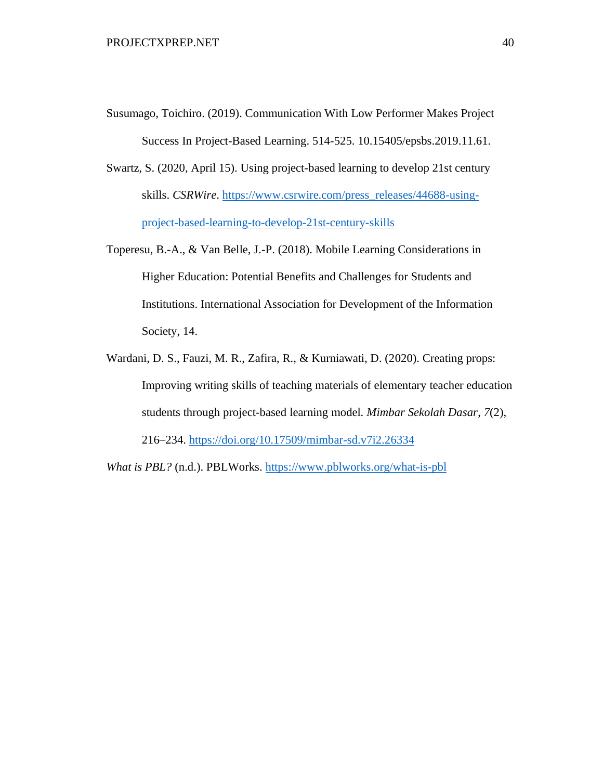- Susumago, Toichiro. (2019). Communication With Low Performer Makes Project Success In Project-Based Learning. 514-525. 10.15405/epsbs.2019.11.61.
- Swartz, S. (2020, April 15). Using project-based learning to develop 21st century skills. *CSRWire*. [https://www.csrwire.com/press\\_releases/44688-using](https://www.csrwire.com/press_releases/44688-using-project-based-learning-to-develop-21st-century-skills)[project-based-learning-to-develop-21st-century-skills](https://www.csrwire.com/press_releases/44688-using-project-based-learning-to-develop-21st-century-skills)
- Toperesu, B.-A., & Van Belle, J.-P. (2018). Mobile Learning Considerations in Higher Education: Potential Benefits and Challenges for Students and Institutions. International Association for Development of the Information Society, 14.
- Wardani, D. S., Fauzi, M. R., Zafira, R., & Kurniawati, D. (2020). Creating props: Improving writing skills of teaching materials of elementary teacher education students through project-based learning model. *Mimbar Sekolah Dasar*, *7*(2), 216–234. <https://doi.org/10.17509/mimbar-sd.v7i2.26334>

*What is PBL?* (n.d.). PBLWorks.<https://www.pblworks.org/what-is-pbl>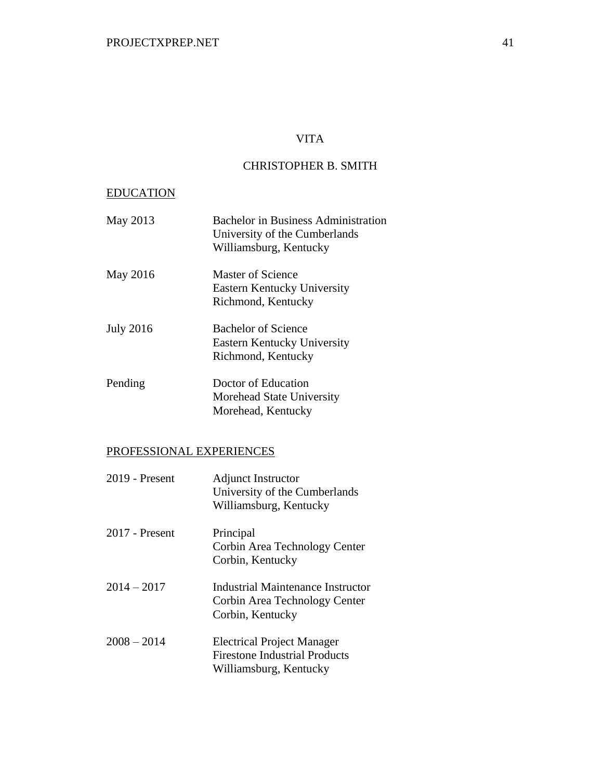## VITA

## CHRISTOPHER B. SMITH

# EDUCATION

| May 2013         | <b>Bachelor in Business Administration</b><br>University of the Cumberlands<br>Williamsburg, Kentucky |
|------------------|-------------------------------------------------------------------------------------------------------|
| May 2016         | Master of Science<br>Eastern Kentucky University<br>Richmond, Kentucky                                |
| <b>July 2016</b> | <b>Bachelor of Science</b><br>Eastern Kentucky University<br>Richmond, Kentucky                       |
| Pending          | Doctor of Education<br>Morehead State University<br>Morehead, Kentucky                                |

# PROFESSIONAL EXPERIENCES

| 2019 - Present | Adjunct Instructor<br>University of the Cumberlands<br>Williamsburg, Kentucky                       |
|----------------|-----------------------------------------------------------------------------------------------------|
| 2017 - Present | Principal<br>Corbin Area Technology Center<br>Corbin, Kentucky                                      |
| $2014 - 2017$  | Industrial Maintenance Instructor<br>Corbin Area Technology Center<br>Corbin, Kentucky              |
| $2008 - 2014$  | <b>Electrical Project Manager</b><br><b>Firestone Industrial Products</b><br>Williamsburg, Kentucky |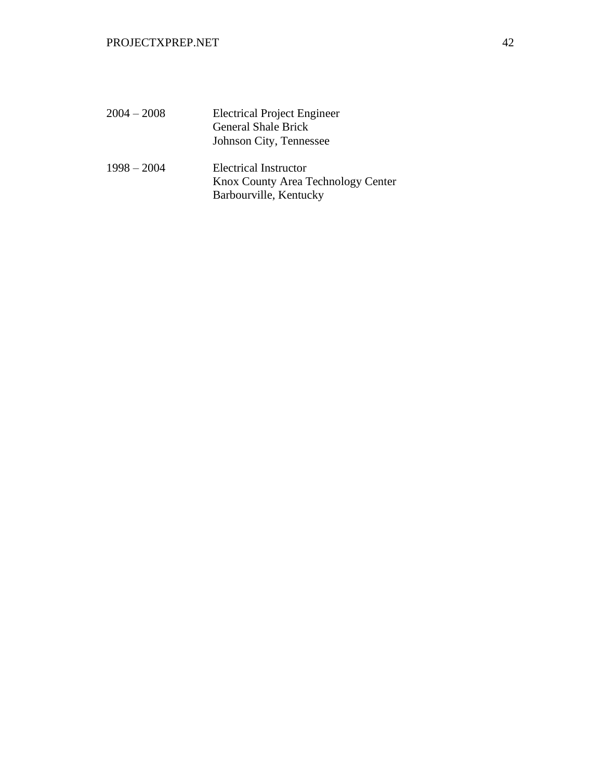| $2004 - 2008$ | <b>Electrical Project Engineer</b><br><b>General Shale Brick</b><br>Johnson City, Tennessee  |
|---------------|----------------------------------------------------------------------------------------------|
| $1998 - 2004$ | <b>Electrical Instructor</b><br>Knox County Area Technology Center<br>Barbourville, Kentucky |